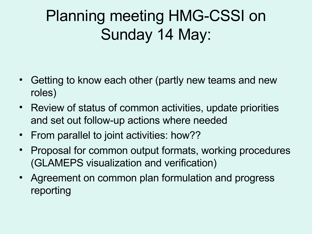## Planning meeting HMG-CSSI on Sunday 14 May:

- Getting to know each other (partly new teams and new roles)
- Review of status of common activities, update priorities and set out follow-up actions where needed
- From parallel to joint activities: how??
- Proposal for common output formats, working procedures (GLAMEPS visualization and verification)
- Agreement on common plan formulation and progress reporting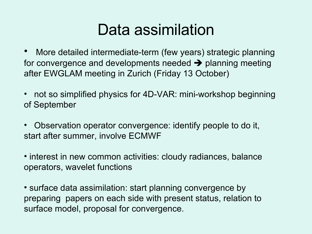#### Data assimilation

- More detailed intermediate-term (few years) strategic planning for convergence and developments needed  $\rightarrow$  planning meeting after EWGLAM meeting in Zurich (Friday 13 October)
- not so simplified physics for 4D-VAR: mini-workshop beginning of September
- Observation operator convergence: identify people to do it, start after summer, involve ECMWF
- interest in new common activities: cloudy radiances, balance operators, wavelet functions

• surface data assimilation: start planning convergence by preparing papers on each side with present status, relation to surface model, proposal for convergence.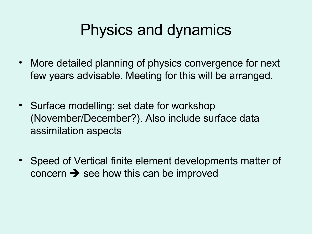### Physics and dynamics

- More detailed planning of physics convergence for next few years advisable. Meeting for this will be arranged.
- Surface modelling: set date for workshop (November/December?). Also include surface data assimilation aspects
- Speed of Vertical finite element developments matter of concern  $\rightarrow$  see how this can be improved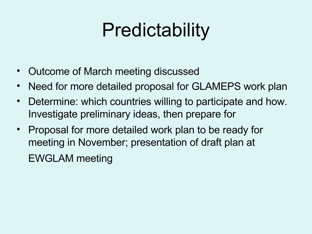# **Predictability**

- Outcome of March meeting discussed
- Need for more detailed proposal for GLAMEPS work plan
- Determine: which countries willing to participate and how. Investigate preliminary ideas, then prepare for
- Proposal for more detailed work plan to be ready for meeting in November; presentation of draft plan at EWGLAM meeting